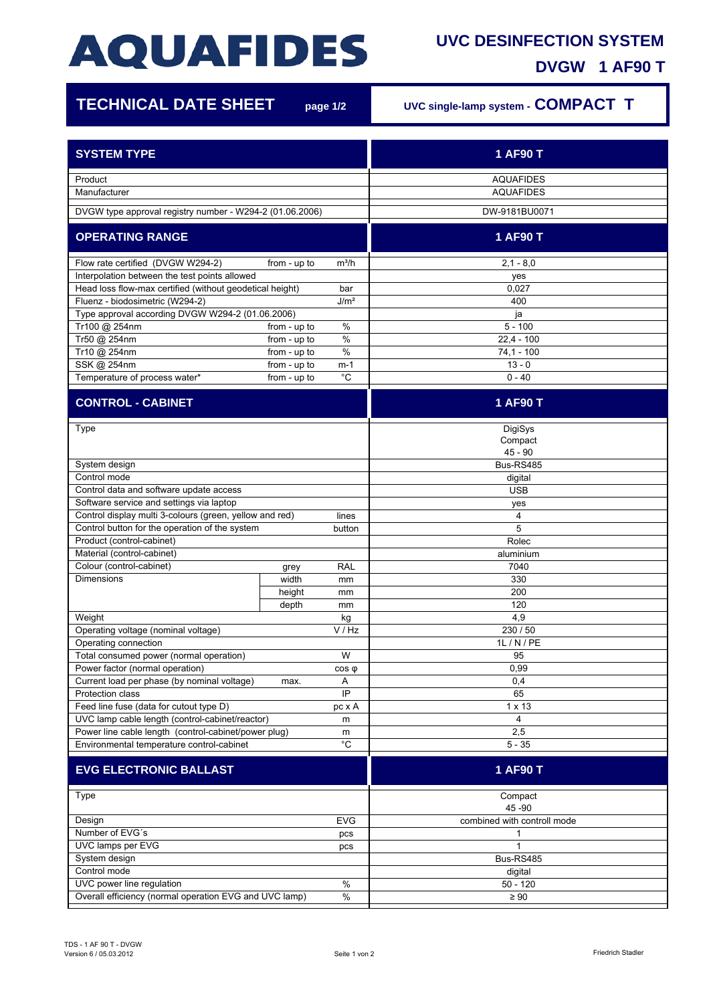## **AQUAFIDES**

## **UVC DESINFECTION SYSTEM**

**DVGW 1 AF90 T**

| <b>TECHNICAL DATE SHEET</b>                                                                                            |                              | page 1/2   | UVC single-lamp system - COMPACT T   |
|------------------------------------------------------------------------------------------------------------------------|------------------------------|------------|--------------------------------------|
| <b>SYSTEM TYPE</b>                                                                                                     |                              |            | 1 AF90 T                             |
| Product<br>Manufacturer                                                                                                |                              |            | <b>AQUAFIDES</b><br><b>AQUAFIDES</b> |
| DVGW type approval registry number - W294-2 (01.06.2006)                                                               |                              |            | DW-9181BU0071                        |
| <b>OPERATING RANGE</b>                                                                                                 |                              |            | 1 AF90 T                             |
| Flow rate certified (DVGW W294-2)                                                                                      | from - up to                 | $m^3/h$    | $2,1 - 8,0$                          |
| Interpolation between the test points allowed                                                                          |                              |            | yes                                  |
| Head loss flow-max certified (without geodetical height)<br>bar<br>J/m <sup>2</sup><br>Fluenz - biodosimetric (W294-2) |                              |            | 0,027<br>400                         |
| Type approval according DVGW W294-2 (01.06.2006)                                                                       |                              |            | ja                                   |
| Tr100 @ 254nm                                                                                                          | from - up to                 | $\%$       | $5 - 100$                            |
| Tr50 @ 254nm                                                                                                           | from - up to                 | $\%$       | $22,4 - 100$                         |
| Tr10 @ 254nm                                                                                                           | from - up to                 | $\%$       | $74.1 - 100$                         |
| SSK @ 254nm<br>Temperature of process water*                                                                           | from - up to<br>from - up to | m-1<br>°C  | $13 - 0$<br>$0 - 40$                 |
| <b>CONTROL - CABINET</b>                                                                                               |                              |            | 1 AF90 T                             |
|                                                                                                                        |                              |            |                                      |
| Type                                                                                                                   |                              |            | DigiSys                              |
|                                                                                                                        |                              |            | Compact                              |
|                                                                                                                        |                              |            | $45 - 90$<br>Bus-RS485               |
| System design<br>Control mode                                                                                          |                              |            |                                      |
| Control data and software update access                                                                                |                              |            | digital<br><b>USB</b>                |
| Software service and settings via laptop                                                                               |                              |            | yes                                  |
| Control display multi 3-colours (green, yellow and red)                                                                |                              | lines      | 4                                    |
| Control button for the operation of the system                                                                         |                              | button     | 5                                    |
| Product (control-cabinet)                                                                                              |                              |            | Rolec                                |
| Material (control-cabinet)                                                                                             |                              |            | aluminium                            |
| Colour (control-cabinet)                                                                                               | grey                         | <b>RAL</b> | 7040                                 |
| <b>Dimensions</b>                                                                                                      | width                        | mm         | 330                                  |
|                                                                                                                        | height                       | mm         | 200                                  |
|                                                                                                                        | depth                        | mm         | 120                                  |
| Weight                                                                                                                 |                              | kg         | 4,9                                  |
| Operating voltage (nominal voltage)                                                                                    |                              | V / Hz     | 230 / 50                             |
| Operating connection<br>Total consumed power (normal operation)                                                        |                              | W          | 1L / N / PE<br>95                    |
| Power factor (normal operation)                                                                                        |                              | $cos \phi$ | 0,99                                 |
| Current load per phase (by nominal voltage)                                                                            | max.                         | Α          | 0,4                                  |
| Protection class                                                                                                       |                              | IP         | 65                                   |
| Feed line fuse (data for cutout type D)                                                                                |                              | pc x A     | 1 x 13                               |
| UVC lamp cable length (control-cabinet/reactor)                                                                        |                              | m          | 4                                    |
| Power line cable length (control-cabinet/power plug)                                                                   |                              | m          | 2,5                                  |
| $^{\circ}C$<br>Environmental temperature control-cabinet                                                               |                              |            | $5 - 35$                             |
| <b>EVG ELECTRONIC BALLAST</b>                                                                                          |                              |            | 1 AF90 T                             |
| Type                                                                                                                   |                              |            | Compact                              |
|                                                                                                                        |                              |            | 45 - 90                              |
| Design                                                                                                                 |                              | <b>EVG</b> | combined with controll mode          |
| Number of EVG's                                                                                                        |                              | pcs        | 1                                    |
| UVC lamps per EVG                                                                                                      |                              | pcs        | 1                                    |
| System design                                                                                                          |                              |            | Bus-RS485                            |
| Control mode                                                                                                           |                              |            | digital                              |
| UVC power line regulation<br>Overall efficiency (normal operation EVG and UVC lamp)                                    |                              | $\%$       | $50 - 120$                           |
|                                                                                                                        |                              | $\%$       | $\geq 90$                            |